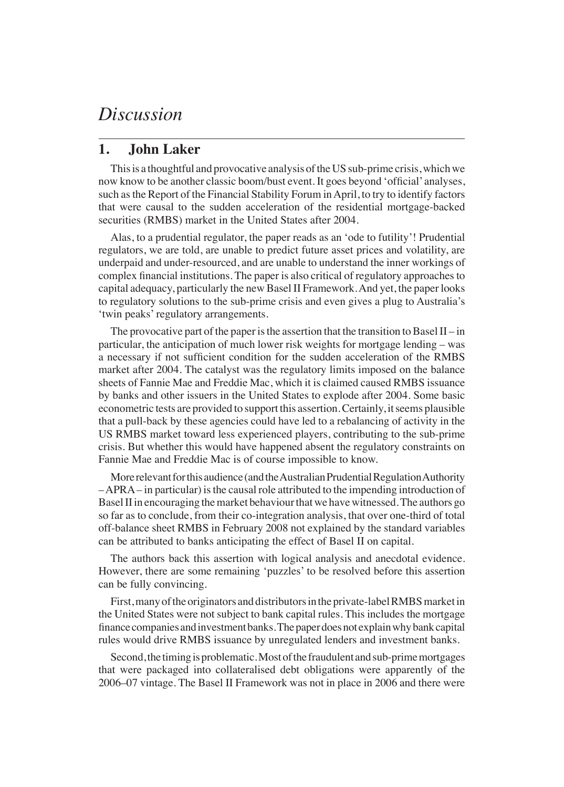# *Discussion*

#### **1. John Laker**

This is a thoughtful and provocative analysis of the US sub-prime crisis, which we now know to be another classic boom/bust event. It goes beyond 'official' analyses, such as the Report of the Financial Stability Forum in April, to try to identify factors that were causal to the sudden acceleration of the residential mortgage-backed securities (RMBS) market in the United States after 2004.

Alas, to a prudential regulator, the paper reads as an 'ode to futility'! Prudential regulators, we are told, are unable to predict future asset prices and volatility, are underpaid and under-resourced, and are unable to understand the inner workings of complex financial institutions. The paper is also critical of regulatory approaches to capital adequacy, particularly the new Basel II Framework. And yet, the paper looks to regulatory solutions to the sub-prime crisis and even gives a plug to Australia's 'twin peaks' regulatory arrangements.

The provocative part of the paper is the assertion that the transition to Basel II – in particular, the anticipation of much lower risk weights for mortgage lending – was a necessary if not sufficient condition for the sudden acceleration of the RMBS market after 2004. The catalyst was the regulatory limits imposed on the balance sheets of Fannie Mae and Freddie Mac, which it is claimed caused RMBS issuance by banks and other issuers in the United States to explode after 2004. Some basic econometric tests are provided to support this assertion. Certainly, it seems plausible that a pull-back by these agencies could have led to a rebalancing of activity in the US RMBS market toward less experienced players, contributing to the sub-prime crisis. But whether this would have happened absent the regulatory constraints on Fannie Mae and Freddie Mac is of course impossible to know.

More relevant for this audience (and the Australian Prudential Regulation Authority – APRA – in particular) is the causal role attributed to the impending introduction of Basel II in encouraging the market behaviour that we have witnessed. The authors go so far as to conclude, from their co-integration analysis, that over one-third of total off-balance sheet RMBS in February 2008 not explained by the standard variables can be attributed to banks anticipating the effect of Basel II on capital.

The authors back this assertion with logical analysis and anecdotal evidence. However, there are some remaining 'puzzles' to be resolved before this assertion can be fully convincing.

First, many of the originators and distributors in the private-label RMBS market in the United States were not subject to bank capital rules. This includes the mortgage finance companies and investment banks. The paper does not explain why bank capital rules would drive RMBS issuance by unregulated lenders and investment banks.

Second, the timing is problematic. Most of the fraudulent and sub-prime mortgages that were packaged into collateralised debt obligations were apparently of the 2006–07 vintage. The Basel II Framework was not in place in 2006 and there were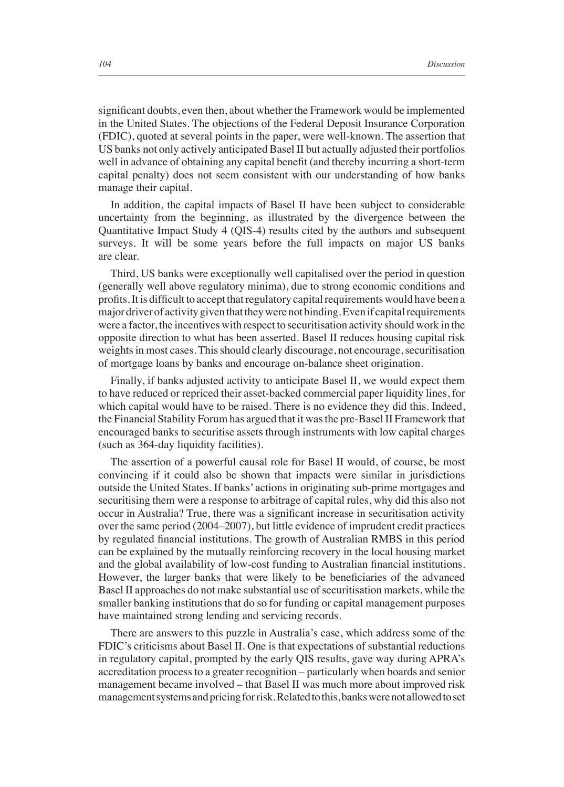significant doubts, even then, about whether the Framework would be implemented in the United States. The objections of the Federal Deposit Insurance Corporation (FDIC), quoted at several points in the paper, were well-known. The assertion that US banks not only actively anticipated Basel II but actually adjusted their portfolios well in advance of obtaining any capital benefit (and thereby incurring a short-term capital penalty) does not seem consistent with our understanding of how banks manage their capital.

In addition, the capital impacts of Basel II have been subject to considerable uncertainty from the beginning, as illustrated by the divergence between the Quantitative Impact Study 4 (QIS-4) results cited by the authors and subsequent surveys. It will be some years before the full impacts on major US banks are clear.

Third, US banks were exceptionally well capitalised over the period in question (generally well above regulatory minima), due to strong economic conditions and profits. It is difficult to accept that regulatory capital requirements would have been a major driver of activity given that they were not binding. Even if capital requirements were a factor, the incentives with respect to securitisation activity should work in the opposite direction to what has been asserted. Basel II reduces housing capital risk weights in most cases. This should clearly discourage, not encourage, securitisation of mortgage loans by banks and encourage on-balance sheet origination.

Finally, if banks adjusted activity to anticipate Basel II, we would expect them to have reduced or repriced their asset-backed commercial paper liquidity lines, for which capital would have to be raised. There is no evidence they did this. Indeed, the Financial Stability Forum has argued that it was the pre-Basel II Framework that encouraged banks to securitise assets through instruments with low capital charges (such as 364-day liquidity facilities).

The assertion of a powerful causal role for Basel II would, of course, be most convincing if it could also be shown that impacts were similar in jurisdictions outside the United States. If banks' actions in originating sub-prime mortgages and securitising them were a response to arbitrage of capital rules, why did this also not occur in Australia? True, there was a significant increase in securitisation activity over the same period (2004–2007), but little evidence of imprudent credit practices by regulated financial institutions. The growth of Australian RMBS in this period can be explained by the mutually reinforcing recovery in the local housing market and the global availability of low-cost funding to Australian financial institutions. However, the larger banks that were likely to be beneficiaries of the advanced Basel II approaches do not make substantial use of securitisation markets, while the smaller banking institutions that do so for funding or capital management purposes have maintained strong lending and servicing records.

There are answers to this puzzle in Australia's case, which address some of the FDIC's criticisms about Basel II. One is that expectations of substantial reductions in regulatory capital, prompted by the early QIS results, gave way during APRA's accreditation process to a greater recognition – particularly when boards and senior management became involved – that Basel II was much more about improved risk management systems and pricing for risk. Related to this, banks were not allowed to set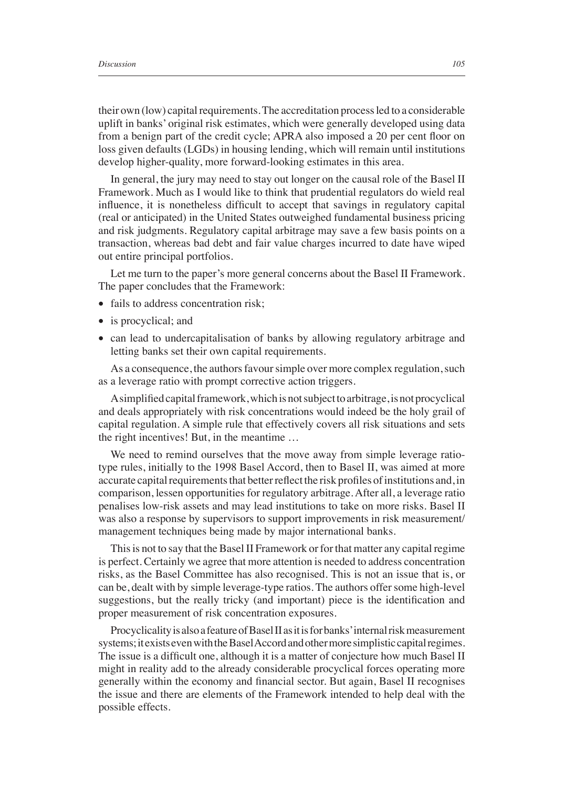their own (low) capital requirements. The accreditation process led to a considerable uplift in banks' original risk estimates, which were generally developed using data from a benign part of the credit cycle; APRA also imposed a 20 per cent floor on loss given defaults (LGDs) in housing lending, which will remain until institutions develop higher-quality, more forward-looking estimates in this area.

In general, the jury may need to stay out longer on the causal role of the Basel II Framework. Much as I would like to think that prudential regulators do wield real influence, it is nonetheless difficult to accept that savings in regulatory capital (real or anticipated) in the United States outweighed fundamental business pricing and risk judgments. Regulatory capital arbitrage may save a few basis points on a transaction, whereas bad debt and fair value charges incurred to date have wiped out entire principal portfolios.

Let me turn to the paper's more general concerns about the Basel II Framework. The paper concludes that the Framework:

- fails to address concentration risk:
- is procyclical; and
- can lead to undercapitalisation of banks by allowing regulatory arbitrage and letting banks set their own capital requirements.

As a consequence, the authors favour simple over more complex regulation, such as a leverage ratio with prompt corrective action triggers.

A simplified capital framework, which is not subject to arbitrage, is not procyclical and deals appropriately with risk concentrations would indeed be the holy grail of capital regulation. A simple rule that effectively covers all risk situations and sets the right incentives! But, in the meantime …

We need to remind ourselves that the move away from simple leverage ratiotype rules, initially to the 1998 Basel Accord, then to Basel II, was aimed at more accurate capital requirements that better reflect the risk profiles of institutions and, in comparison, lessen opportunities for regulatory arbitrage. After all, a leverage ratio penalises low-risk assets and may lead institutions to take on more risks. Basel II was also a response by supervisors to support improvements in risk measurement/ management techniques being made by major international banks.

This is not to say that the Basel II Framework or for that matter any capital regime is perfect. Certainly we agree that more attention is needed to address concentration risks, as the Basel Committee has also recognised. This is not an issue that is, or can be, dealt with by simple leverage-type ratios. The authors offer some high-level suggestions, but the really tricky (and important) piece is the identification and proper measurement of risk concentration exposures.

Procyclicality is also a feature of Basel II as it is for banks' internal risk measurement systems; it exists even with the Basel Accord and other more simplistic capital regimes. The issue is a difficult one, although it is a matter of conjecture how much Basel II might in reality add to the already considerable procyclical forces operating more generally within the economy and financial sector. But again, Basel II recognises the issue and there are elements of the Framework intended to help deal with the possible effects.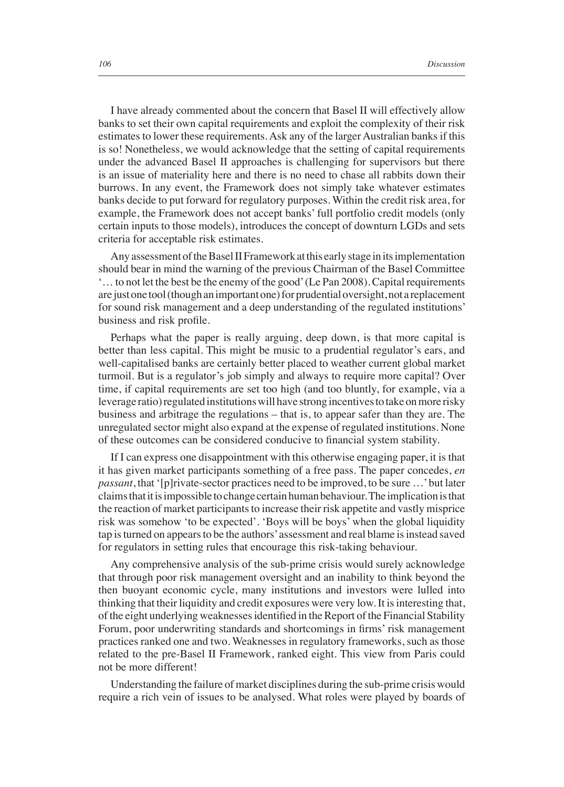I have already commented about the concern that Basel II will effectively allow banks to set their own capital requirements and exploit the complexity of their risk estimates to lower these requirements. Ask any of the larger Australian banks if this is so! Nonetheless, we would acknowledge that the setting of capital requirements under the advanced Basel II approaches is challenging for supervisors but there is an issue of materiality here and there is no need to chase all rabbits down their burrows. In any event, the Framework does not simply take whatever estimates banks decide to put forward for regulatory purposes. Within the credit risk area, for example, the Framework does not accept banks' full portfolio credit models (only certain inputs to those models), introduces the concept of downturn LGDs and sets criteria for acceptable risk estimates.

Any assessment of the Basel II Framework at this early stage in its implementation should bear in mind the warning of the previous Chairman of the Basel Committee '… to not let the best be the enemy of the good' (Le Pan 2008). Capital requirements are just one tool (though an important one) for prudential oversight, not a replacement for sound risk management and a deep understanding of the regulated institutions' business and risk profile.

Perhaps what the paper is really arguing, deep down, is that more capital is better than less capital. This might be music to a prudential regulator's ears, and well-capitalised banks are certainly better placed to weather current global market turmoil. But is a regulator's job simply and always to require more capital? Over time, if capital requirements are set too high (and too bluntly, for example, via a leverage ratio) regulated institutions will have strong incentives to take on more risky business and arbitrage the regulations – that is, to appear safer than they are. The unregulated sector might also expand at the expense of regulated institutions. None of these outcomes can be considered conducive to financial system stability.

If I can express one disappointment with this otherwise engaging paper, it is that it has given market participants something of a free pass. The paper concedes, *en passant*, that '[p]rivate-sector practices need to be improved, to be sure …' but later claims that it is impossible to change certain human behaviour. The implication is that the reaction of market participants to increase their risk appetite and vastly misprice risk was somehow 'to be expected'. 'Boys will be boys' when the global liquidity tap is turned on appears to be the authors' assessment and real blame is instead saved for regulators in setting rules that encourage this risk-taking behaviour.

Any comprehensive analysis of the sub-prime crisis would surely acknowledge that through poor risk management oversight and an inability to think beyond the then buoyant economic cycle, many institutions and investors were lulled into thinking that their liquidity and credit exposures were very low. It is interesting that, of the eight underlying weaknesses identified in the Report of the Financial Stability Forum, poor underwriting standards and shortcomings in firms' risk management practices ranked one and two. Weaknesses in regulatory frameworks, such as those related to the pre-Basel II Framework, ranked eight. This view from Paris could not be more different!

Understanding the failure of market disciplines during the sub-prime crisis would require a rich vein of issues to be analysed. What roles were played by boards of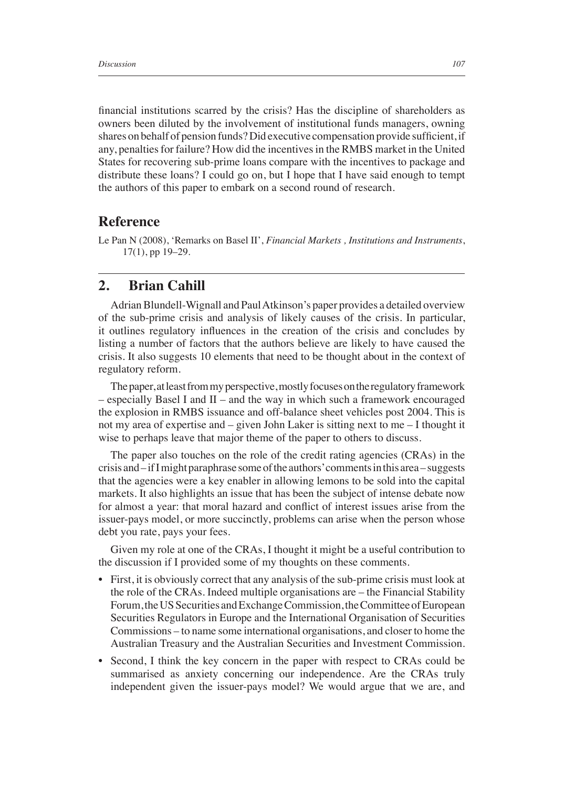financial institutions scarred by the crisis? Has the discipline of shareholders as owners been diluted by the involvement of institutional funds managers, owning shares on behalf of pension funds? Did executive compensation provide sufficient, if any, penalties for failure? How did the incentives in the RMBS market in the United States for recovering sub-prime loans compare with the incentives to package and distribute these loans? I could go on, but I hope that I have said enough to tempt the authors of this paper to embark on a second round of research.

## **Reference**

Le Pan N (2008), 'Remarks on Basel II', *Financial Markets , Institutions and Instruments*, 17(1), pp 19–29.

## **2. Brian Cahill**

Adrian Blundell-Wignall and Paul Atkinson's paper provides a detailed overview of the sub-prime crisis and analysis of likely causes of the crisis. In particular, it outlines regulatory influences in the creation of the crisis and concludes by listing a number of factors that the authors believe are likely to have caused the crisis. It also suggests 10 elements that need to be thought about in the context of regulatory reform.

The paper, at least from my perspective, mostly focuses on the regulatory framework  $-$  especially Basel I and II – and the way in which such a framework encouraged the explosion in RMBS issuance and off-balance sheet vehicles post 2004. This is not my area of expertise and – given John Laker is sitting next to me – I thought it wise to perhaps leave that major theme of the paper to others to discuss.

The paper also touches on the role of the credit rating agencies (CRAs) in the crisis and – if I might paraphrase some of the authors' comments in this area – suggests that the agencies were a key enabler in allowing lemons to be sold into the capital markets. It also highlights an issue that has been the subject of intense debate now for almost a year: that moral hazard and conflict of interest issues arise from the issuer-pays model, or more succinctly, problems can arise when the person whose debt you rate, pays your fees.

Given my role at one of the CRAs, I thought it might be a useful contribution to the discussion if I provided some of my thoughts on these comments.

- First, it is obviously correct that any analysis of the sub-prime crisis must look at the role of the CRAs. Indeed multiple organisations are – the Financial Stability Forum, the US Securities and Exchange Commission, the Committee of European Securities Regulators in Europe and the International Organisation of Securities Commissions – to name some international organisations, and closer to home the Australian Treasury and the Australian Securities and Investment Commission.
- Second, I think the key concern in the paper with respect to CRAs could be summarised as anxiety concerning our independence. Are the CRAs truly independent given the issuer-pays model? We would argue that we are, and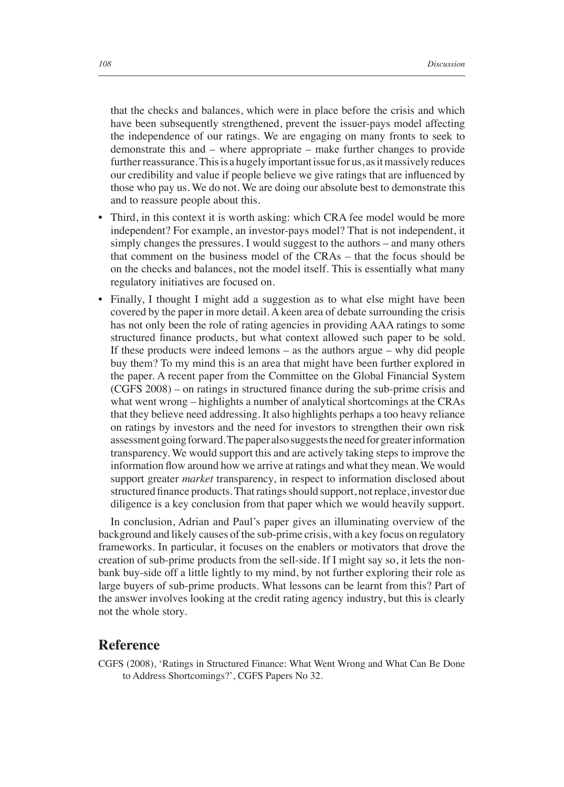that the checks and balances, which were in place before the crisis and which have been subsequently strengthened, prevent the issuer-pays model affecting the independence of our ratings. We are engaging on many fronts to seek to demonstrate this and – where appropriate – make further changes to provide further reassurance. This is a hugely important issue for us, as it massively reduces our credibility and value if people believe we give ratings that are influenced by those who pay us. We do not. We are doing our absolute best to demonstrate this and to reassure people about this.

- Third, in this context it is worth asking: which CRA fee model would be more independent? For example, an investor-pays model? That is not independent, it simply changes the pressures. I would suggest to the authors – and many others that comment on the business model of the CRAs – that the focus should be on the checks and balances, not the model itself. This is essentially what many regulatory initiatives are focused on.
- Finally, I thought I might add a suggestion as to what else might have been covered by the paper in more detail. A keen area of debate surrounding the crisis has not only been the role of rating agencies in providing AAA ratings to some structured finance products, but what context allowed such paper to be sold. If these products were indeed lemons – as the authors argue – why did people buy them? To my mind this is an area that might have been further explored in the paper. A recent paper from the Committee on the Global Financial System  $(CGFS 2008)$  – on ratings in structured finance during the sub-prime crisis and what went wrong – highlights a number of analytical shortcomings at the CRAs that they believe need addressing. It also highlights perhaps a too heavy reliance on ratings by investors and the need for investors to strengthen their own risk assessment going forward. The paper also suggests the need for greater information transparency. We would support this and are actively taking steps to improve the information flow around how we arrive at ratings and what they mean. We would support greater *market* transparency, in respect to information disclosed about structured finance products. That ratings should support, not replace, investor due diligence is a key conclusion from that paper which we would heavily support.

In conclusion, Adrian and Paul's paper gives an illuminating overview of the background and likely causes of the sub-prime crisis, with a key focus on regulatory frameworks. In particular, it focuses on the enablers or motivators that drove the creation of sub-prime products from the sell-side. If I might say so, it lets the nonbank buy-side off a little lightly to my mind, by not further exploring their role as large buyers of sub-prime products. What lessons can be learnt from this? Part of the answer involves looking at the credit rating agency industry, but this is clearly not the whole story.

## **Reference**

CGFS (2008), 'Ratings in Structured Finance: What Went Wrong and What Can Be Done to Address Shortcomings?', CGFS Papers No 32.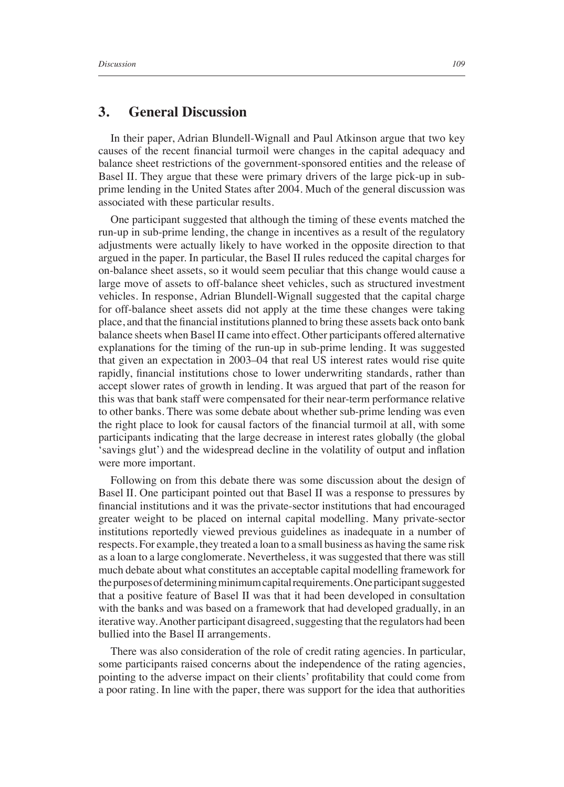#### **3. General Discussion**

In their paper, Adrian Blundell-Wignall and Paul Atkinson argue that two key causes of the recent financial turmoil were changes in the capital adequacy and balance sheet restrictions of the government-sponsored entities and the release of Basel II. They argue that these were primary drivers of the large pick-up in subprime lending in the United States after 2004. Much of the general discussion was associated with these particular results.

One participant suggested that although the timing of these events matched the run-up in sub-prime lending, the change in incentives as a result of the regulatory adjustments were actually likely to have worked in the opposite direction to that argued in the paper. In particular, the Basel II rules reduced the capital charges for on-balance sheet assets, so it would seem peculiar that this change would cause a large move of assets to off-balance sheet vehicles, such as structured investment vehicles. In response, Adrian Blundell-Wignall suggested that the capital charge for off-balance sheet assets did not apply at the time these changes were taking place, and that the financial institutions planned to bring these assets back onto bank balance sheets when Basel II came into effect. Other participants offered alternative explanations for the timing of the run-up in sub-prime lending. It was suggested that given an expectation in 2003–04 that real US interest rates would rise quite rapidly, financial institutions chose to lower underwriting standards, rather than accept slower rates of growth in lending. It was argued that part of the reason for this was that bank staff were compensated for their near-term performance relative to other banks. There was some debate about whether sub-prime lending was even the right place to look for causal factors of the financial turmoil at all, with some participants indicating that the large decrease in interest rates globally (the global 'savings glut') and the widespread decline in the volatility of output and inflation were more important.

Following on from this debate there was some discussion about the design of Basel II. One participant pointed out that Basel II was a response to pressures by financial institutions and it was the private-sector institutions that had encouraged greater weight to be placed on internal capital modelling. Many private-sector institutions reportedly viewed previous guidelines as inadequate in a number of respects. For example, they treated a loan to a small business as having the same risk as a loan to a large conglomerate. Nevertheless, it was suggested that there was still much debate about what constitutes an acceptable capital modelling framework for the purposes of determining minimum capital requirements. One participant suggested that a positive feature of Basel II was that it had been developed in consultation with the banks and was based on a framework that had developed gradually, in an iterative way. Another participant disagreed, suggesting that the regulators had been bullied into the Basel II arrangements.

There was also consideration of the role of credit rating agencies. In particular, some participants raised concerns about the independence of the rating agencies, pointing to the adverse impact on their clients' profitability that could come from a poor rating. In line with the paper, there was support for the idea that authorities